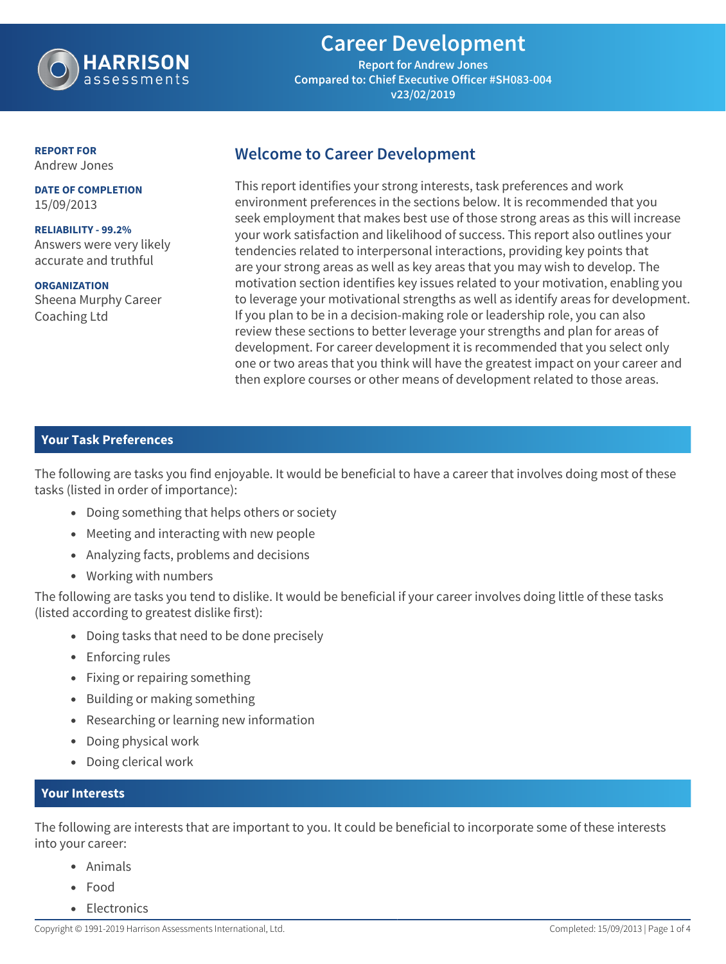

# **Career Development**

**Report for Andrew Jones Compared to: Chief Executive Officer #SH083-004 v23/02/2019**

**REPORT FOR** Andrew Jones

**DATE OF COMPLETION** 15/09/2013

**RELIABILITY - 99.2%** Answers were very likely accurate and truthful

**ORGANIZATION** Sheena Murphy Career Coaching Ltd

## **Welcome to Career Development**

This report identifies your strong interests, task preferences and work environment preferences in the sections below. It is recommended that you seek employment that makes best use of those strong areas as this will increase your work satisfaction and likelihood of success. This report also outlines your tendencies related to interpersonal interactions, providing key points that are your strong areas as well as key areas that you may wish to develop. The motivation section identifies key issues related to your motivation, enabling you to leverage your motivational strengths as well as identify areas for development. If you plan to be in a decision-making role or leadership role, you can also review these sections to better leverage your strengths and plan for areas of development. For career development it is recommended that you select only one or two areas that you think will have the greatest impact on your career and then explore courses or other means of development related to those areas.

### **Your Task Preferences**

The following are tasks you find enjoyable. It would be beneficial to have a career that involves doing most of these tasks (listed in order of importance):

- **•** Doing something that helps others or society
- **•** Meeting and interacting with new people
- **•** Analyzing facts, problems and decisions
- **•** Working with numbers

The following are tasks you tend to dislike. It would be beneficial if your career involves doing little of these tasks (listed according to greatest dislike first):

- **•** Doing tasks that need to be done precisely
- **•** Enforcing rules
- **•** Fixing or repairing something
- **•** Building or making something
- **•** Researching or learning new information
- **•** Doing physical work
- **•** Doing clerical work

#### **Your Interests**

The following are interests that are important to you. It could be beneficial to incorporate some of these interests into your career:

- **•** Animals
- **•** Food
- **•** Electronics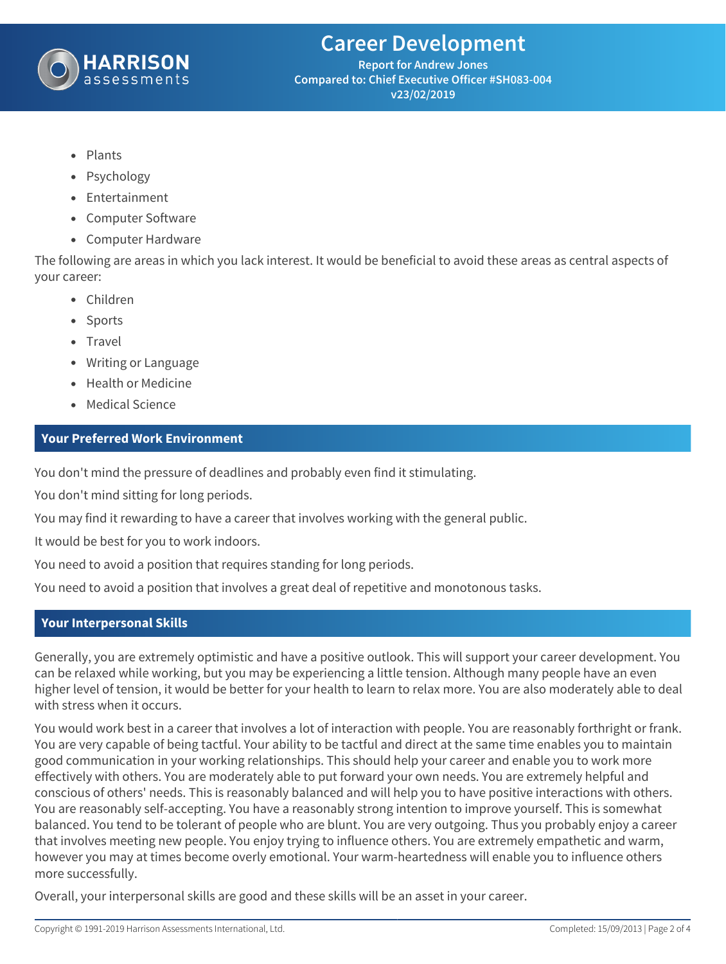

**Report for Andrew Jones Compared to: Chief Executive Officer #SH083-004 v23/02/2019**

- **•** Plants
- **•** Psychology
- **•** Entertainment
- **•** Computer Software
- **•** Computer Hardware

The following are areas in which you lack interest. It would be beneficial to avoid these areas as central aspects of your career:

- **•** Children
- **•** Sports
- **•** Travel
- **•** Writing or Language
- **•** Health or Medicine
- **•** Medical Science

#### **Your Preferred Work Environment**

You don't mind the pressure of deadlines and probably even find it stimulating.

You don't mind sitting for long periods.

You may find it rewarding to have a career that involves working with the general public.

It would be best for you to work indoors.

You need to avoid a position that requires standing for long periods.

You need to avoid a position that involves a great deal of repetitive and monotonous tasks.

### **Your Interpersonal Skills**

Generally, you are extremely optimistic and have a positive outlook. This will support your career development. You can be relaxed while working, but you may be experiencing a little tension. Although many people have an even higher level of tension, it would be better for your health to learn to relax more. You are also moderately able to deal with stress when it occurs.

You would work best in a career that involves a lot of interaction with people. You are reasonably forthright or frank. You are very capable of being tactful. Your ability to be tactful and direct at the same time enables you to maintain good communication in your working relationships. This should help your career and enable you to work more effectively with others. You are moderately able to put forward your own needs. You are extremely helpful and conscious of others' needs. This is reasonably balanced and will help you to have positive interactions with others. You are reasonably self-accepting. You have a reasonably strong intention to improve yourself. This is somewhat balanced. You tend to be tolerant of people who are blunt. You are very outgoing. Thus you probably enjoy a career that involves meeting new people. You enjoy trying to influence others. You are extremely empathetic and warm, however you may at times become overly emotional. Your warm-heartedness will enable you to influence others more successfully.

Overall, your interpersonal skills are good and these skills will be an asset in your career.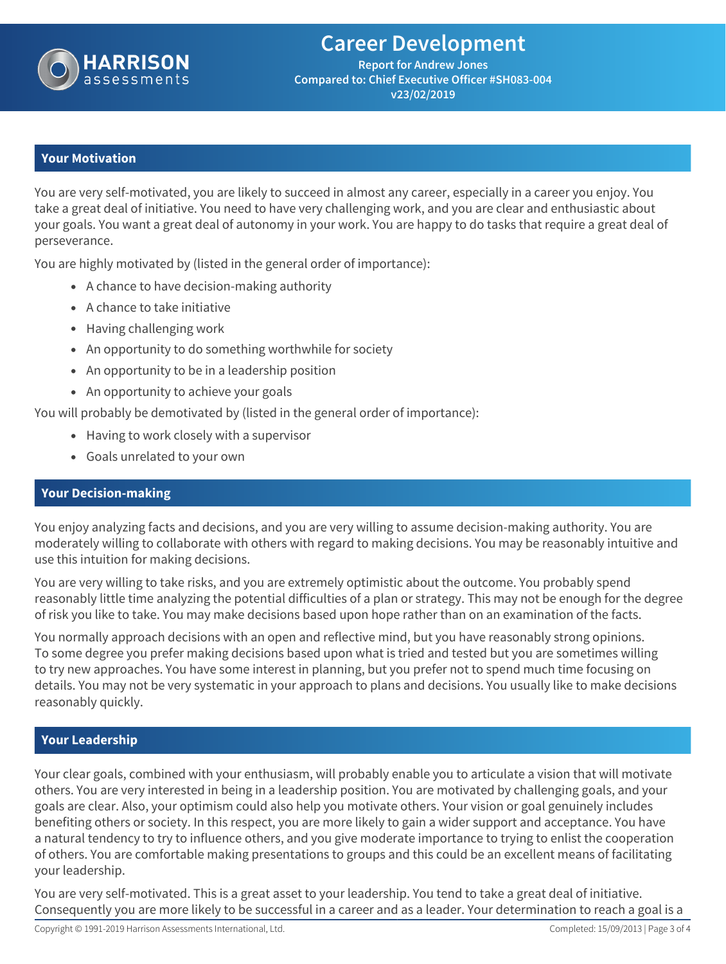

**Report for Andrew Jones Compared to: Chief Executive Officer #SH083-004 v23/02/2019**

#### **Your Motivation**

You are very self-motivated, you are likely to succeed in almost any career, especially in a career you enjoy. You take a great deal of initiative. You need to have very challenging work, and you are clear and enthusiastic about your goals. You want a great deal of autonomy in your work. You are happy to do tasks that require a great deal of perseverance.

You are highly motivated by (listed in the general order of importance):

- **•** A chance to have decision-making authority
- **•** A chance to take initiative
- **•** Having challenging work
- **•** An opportunity to do something worthwhile for society
- **•** An opportunity to be in a leadership position
- **•** An opportunity to achieve your goals

You will probably be demotivated by (listed in the general order of importance):

- **•** Having to work closely with a supervisor
- **•** Goals unrelated to your own

#### **Your Decision-making**

You enjoy analyzing facts and decisions, and you are very willing to assume decision-making authority. You are moderately willing to collaborate with others with regard to making decisions. You may be reasonably intuitive and use this intuition for making decisions.

You are very willing to take risks, and you are extremely optimistic about the outcome. You probably spend reasonably little time analyzing the potential difficulties of a plan or strategy. This may not be enough for the degree of risk you like to take. You may make decisions based upon hope rather than on an examination of the facts.

You normally approach decisions with an open and reflective mind, but you have reasonably strong opinions. To some degree you prefer making decisions based upon what is tried and tested but you are sometimes willing to try new approaches. You have some interest in planning, but you prefer not to spend much time focusing on details. You may not be very systematic in your approach to plans and decisions. You usually like to make decisions reasonably quickly.

#### **Your Leadership**

Your clear goals, combined with your enthusiasm, will probably enable you to articulate a vision that will motivate others. You are very interested in being in a leadership position. You are motivated by challenging goals, and your goals are clear. Also, your optimism could also help you motivate others. Your vision or goal genuinely includes benefiting others or society. In this respect, you are more likely to gain a wider support and acceptance. You have a natural tendency to try to influence others, and you give moderate importance to trying to enlist the cooperation of others. You are comfortable making presentations to groups and this could be an excellent means of facilitating your leadership.

You are very self-motivated. This is a great asset to your leadership. You tend to take a great deal of initiative. Consequently you are more likely to be successful in a career and as a leader. Your determination to reach a goal is a